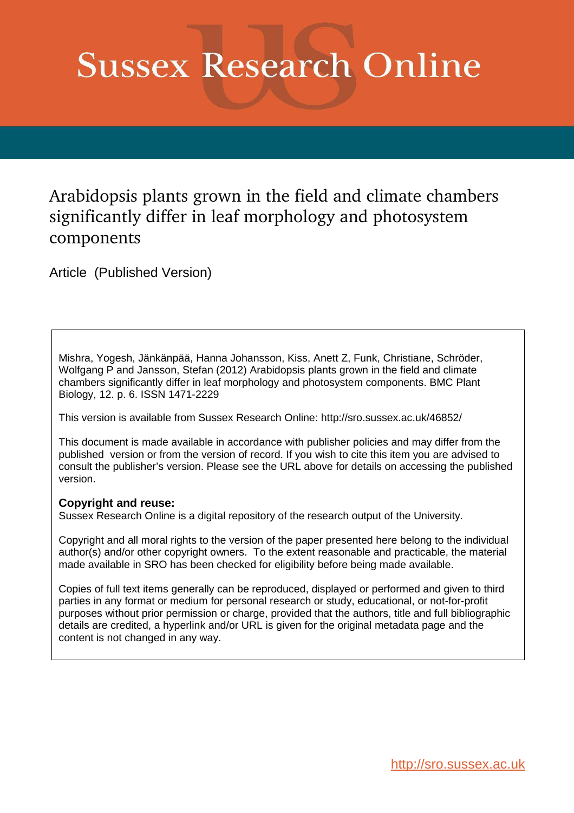# **Sussex Research Online**

## Arabidopsis plants grown in the field and climate chambers significantly differ in leaf morphology and photosystem components

Article (Published Version)

Mishra, Yogesh, Jänkänpää, Hanna Johansson, Kiss, Anett Z, Funk, Christiane, Schröder, Wolfgang P and Jansson, Stefan (2012) Arabidopsis plants grown in the field and climate chambers significantly differ in leaf morphology and photosystem components. BMC Plant Biology, 12. p. 6. ISSN 1471-2229

This version is available from Sussex Research Online: http://sro.sussex.ac.uk/46852/

This document is made available in accordance with publisher policies and may differ from the published version or from the version of record. If you wish to cite this item you are advised to consult the publisher's version. Please see the URL above for details on accessing the published version.

## **Copyright and reuse:**

Sussex Research Online is a digital repository of the research output of the University.

Copyright and all moral rights to the version of the paper presented here belong to the individual author(s) and/or other copyright owners. To the extent reasonable and practicable, the material made available in SRO has been checked for eligibility before being made available.

Copies of full text items generally can be reproduced, displayed or performed and given to third parties in any format or medium for personal research or study, educational, or not-for-profit purposes without prior permission or charge, provided that the authors, title and full bibliographic details are credited, a hyperlink and/or URL is given for the original metadata page and the content is not changed in any way.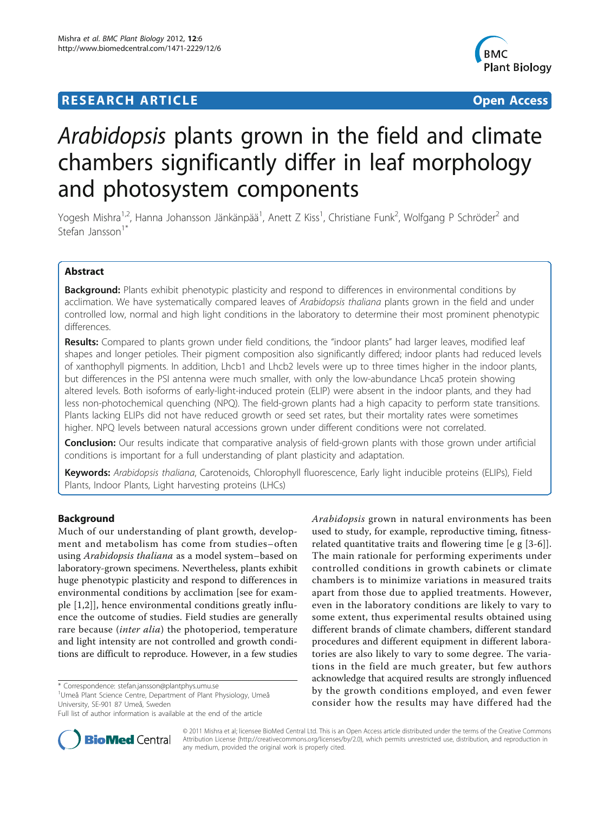## **RESEARCH ARTICLE Example 2018 12:00 Department of the Contract Open Access**



# Arabidopsis plants grown in the field and climate chambers significantly differ in leaf morphology and photosystem components

Yogesh Mishra<sup>1,2</sup>, Hanna Johansson Jänkänpää<sup>1</sup>, Anett Z Kiss<sup>1</sup>, Christiane Funk<sup>2</sup>, Wolfgang P Schröder<sup>2</sup> and Stefan Jansson<sup>1\*</sup>

#### Abstract

**Background:** Plants exhibit phenotypic plasticity and respond to differences in environmental conditions by acclimation. We have systematically compared leaves of Arabidopsis thaliana plants grown in the field and under controlled low, normal and high light conditions in the laboratory to determine their most prominent phenotypic differences.

Results: Compared to plants grown under field conditions, the "indoor plants" had larger leaves, modified leaf shapes and longer petioles. Their pigment composition also significantly differed; indoor plants had reduced levels of xanthophyll pigments. In addition, Lhcb1 and Lhcb2 levels were up to three times higher in the indoor plants, but differences in the PSI antenna were much smaller, with only the low-abundance Lhca5 protein showing altered levels. Both isoforms of early-light-induced protein (ELIP) were absent in the indoor plants, and they had less non-photochemical quenching (NPQ). The field-grown plants had a high capacity to perform state transitions. Plants lacking ELIPs did not have reduced growth or seed set rates, but their mortality rates were sometimes higher. NPQ levels between natural accessions grown under different conditions were not correlated.

Conclusion: Our results indicate that comparative analysis of field-grown plants with those grown under artificial conditions is important for a full understanding of plant plasticity and adaptation.

Keywords: Arabidopsis thaliana, Carotenoids, Chlorophyll fluorescence, Early light inducible proteins (ELIPs), Field Plants, Indoor Plants, Light harvesting proteins (LHCs)

#### Background

Much of our understanding of plant growth, development and metabolism has come from studies–often using Arabidopsis thaliana as a model system–based on laboratory-grown specimens. Nevertheless, plants exhibit huge phenotypic plasticity and respond to differences in environmental conditions by acclimation [see for example [\[1](#page-16-0),[2\]](#page-16-0)], hence environmental conditions greatly influence the outcome of studies. Field studies are generally rare because (inter alia) the photoperiod, temperature and light intensity are not controlled and growth conditions are difficult to reproduce. However, in a few studies

<sup>1</sup>Umeå Plant Science Centre, Department of Plant Physiology, Umeå University, SE-901 87 Umeå, Sweden

Arabidopsis grown in natural environments has been used to study, for example, reproductive timing, fitnessrelated quantitative traits and flowering time [e g [\[3](#page-16-0)-[6\]](#page-16-0)]. The main rationale for performing experiments under controlled conditions in growth cabinets or climate chambers is to minimize variations in measured traits apart from those due to applied treatments. However, even in the laboratory conditions are likely to vary to some extent, thus experimental results obtained using different brands of climate chambers, different standard procedures and different equipment in different laboratories are also likely to vary to some degree. The variations in the field are much greater, but few authors acknowledge that acquired results are strongly influenced by the growth conditions employed, and even fewer consider how the results may have differed had the



© 2011 Mishra et al; licensee BioMed Central Ltd. This is an Open Access article distributed under the terms of the Creative Commons Attribution License [\(http://creativecommons.org/licenses/by/2.0](http://creativecommons.org/licenses/by/2.0)), which permits unrestricted use, distribution, and reproduction in any medium, provided the original work is properly cited.

<sup>\*</sup> Correspondence: [stefan.jansson@plantphys.umu.se](mailto:stefan.jansson@plantphys.umu.se)

Full list of author information is available at the end of the article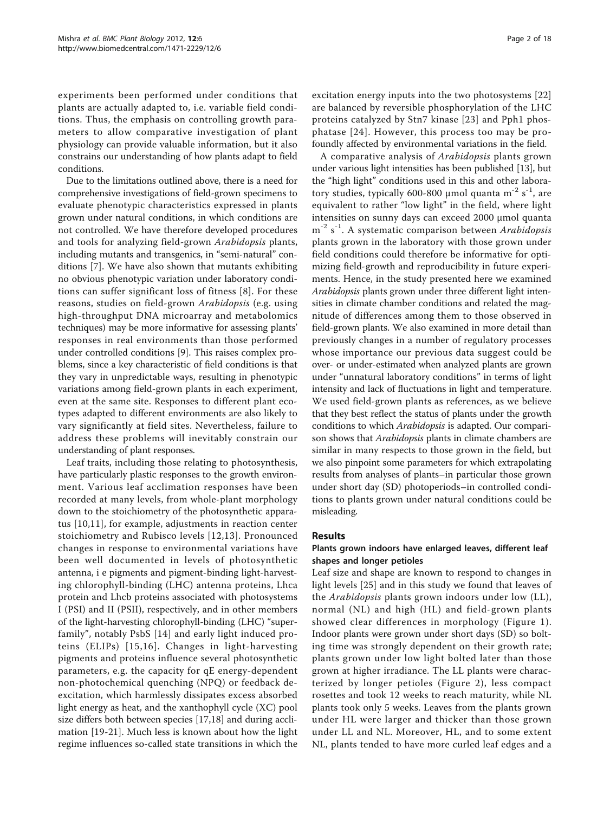experiments been performed under conditions that plants are actually adapted to, i.e. variable field conditions. Thus, the emphasis on controlling growth parameters to allow comparative investigation of plant physiology can provide valuable information, but it also constrains our understanding of how plants adapt to field conditions.

Due to the limitations outlined above, there is a need for comprehensive investigations of field-grown specimens to evaluate phenotypic characteristics expressed in plants grown under natural conditions, in which conditions are not controlled. We have therefore developed procedures and tools for analyzing field-grown Arabidopsis plants, including mutants and transgenics, in "semi-natural" conditions [\[7](#page-16-0)]. We have also shown that mutants exhibiting no obvious phenotypic variation under laboratory conditions can suffer significant loss of fitness [[8](#page-16-0)]. For these reasons, studies on field-grown Arabidopsis (e.g. using high-throughput DNA microarray and metabolomics techniques) may be more informative for assessing plants' responses in real environments than those performed under controlled conditions [\[9](#page-16-0)]. This raises complex problems, since a key characteristic of field conditions is that they vary in unpredictable ways, resulting in phenotypic variations among field-grown plants in each experiment, even at the same site. Responses to different plant ecotypes adapted to different environments are also likely to vary significantly at field sites. Nevertheless, failure to address these problems will inevitably constrain our understanding of plant responses.

Leaf traits, including those relating to photosynthesis, have particularly plastic responses to the growth environment. Various leaf acclimation responses have been recorded at many levels, from whole-plant morphology down to the stoichiometry of the photosynthetic apparatus [[10,11](#page-16-0)], for example, adjustments in reaction center stoichiometry and Rubisco levels [[12,13](#page-16-0)]. Pronounced changes in response to environmental variations have been well documented in levels of photosynthetic antenna, i e pigments and pigment-binding light-harvesting chlorophyll-binding (LHC) antenna proteins, Lhca protein and Lhcb proteins associated with photosystems I (PSI) and II (PSII), respectively, and in other members of the light-harvesting chlorophyll-binding (LHC) "superfamily", notably PsbS [[14](#page-16-0)] and early light induced proteins (ELIPs) [[15,16](#page-16-0)]. Changes in light-harvesting pigments and proteins influence several photosynthetic parameters, e.g. the capacity for qE energy-dependent non-photochemical quenching (NPQ) or feedback deexcitation, which harmlessly dissipates excess absorbed light energy as heat, and the xanthophyll cycle (XC) pool size differs both between species [\[17,18\]](#page-16-0) and during acclimation [[19](#page-16-0)-[21\]](#page-16-0). Much less is known about how the light regime influences so-called state transitions in which the excitation energy inputs into the two photosystems [\[22](#page-16-0)] are balanced by reversible phosphorylation of the LHC proteins catalyzed by Stn7 kinase [[23\]](#page-16-0) and Pph1 phosphatase [[24\]](#page-16-0). However, this process too may be profoundly affected by environmental variations in the field.

A comparative analysis of Arabidopsis plants grown under various light intensities has been published [[13](#page-16-0)], but the "high light" conditions used in this and other laboratory studies, typically 600-800 μmol quanta m<sup>-2</sup> s<sup>-1</sup>, are equivalent to rather "low light" in the field, where light intensities on sunny days can exceed 2000 μmol quanta m<sup>-2</sup> s<sup>-1</sup>. A systematic comparison between Arabidopsis plants grown in the laboratory with those grown under field conditions could therefore be informative for optimizing field-growth and reproducibility in future experiments. Hence, in the study presented here we examined Arabidopsis plants grown under three different light intensities in climate chamber conditions and related the magnitude of differences among them to those observed in field-grown plants. We also examined in more detail than previously changes in a number of regulatory processes whose importance our previous data suggest could be over- or under-estimated when analyzed plants are grown under "unnatural laboratory conditions" in terms of light intensity and lack of fluctuations in light and temperature. We used field-grown plants as references, as we believe that they best reflect the status of plants under the growth conditions to which Arabidopsis is adapted. Our comparison shows that *Arabidopsis* plants in climate chambers are similar in many respects to those grown in the field, but we also pinpoint some parameters for which extrapolating results from analyses of plants–in particular those grown under short day (SD) photoperiods–in controlled conditions to plants grown under natural conditions could be misleading.

#### Results

#### Plants grown indoors have enlarged leaves, different leaf shapes and longer petioles

Leaf size and shape are known to respond to changes in light levels [[25\]](#page-16-0) and in this study we found that leaves of the Arabidopsis plants grown indoors under low (LL), normal (NL) and high (HL) and field-grown plants showed clear differences in morphology (Figure 1). Indoor plants were grown under short days (SD) so bolting time was strongly dependent on their growth rate; plants grown under low light bolted later than those grown at higher irradiance. The LL plants were characterized by longer petioles (Figure [2](#page-3-0)), less compact rosettes and took 12 weeks to reach maturity, while NL plants took only 5 weeks. Leaves from the plants grown under HL were larger and thicker than those grown under LL and NL. Moreover, HL, and to some extent NL, plants tended to have more curled leaf edges and a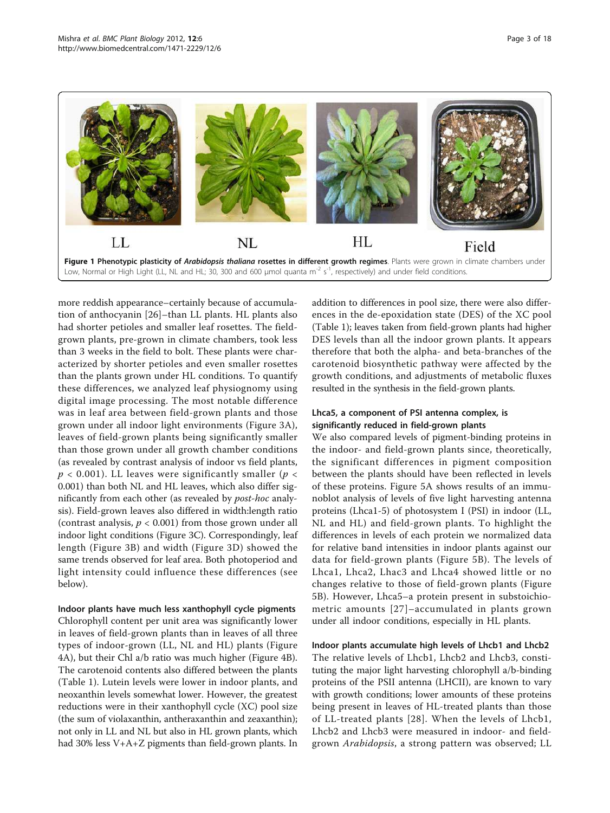<span id="page-3-0"></span>

more reddish appearance–certainly because of accumulation of anthocyanin [[26\]](#page-16-0)–than LL plants. HL plants also had shorter petioles and smaller leaf rosettes. The fieldgrown plants, pre-grown in climate chambers, took less than 3 weeks in the field to bolt. These plants were characterized by shorter petioles and even smaller rosettes than the plants grown under HL conditions. To quantify these differences, we analyzed leaf physiognomy using digital image processing. The most notable difference was in leaf area between field-grown plants and those grown under all indoor light environments (Figure [3A](#page-4-0)), leaves of field-grown plants being significantly smaller than those grown under all growth chamber conditions (as revealed by contrast analysis of indoor vs field plants,  $p < 0.001$ ). LL leaves were significantly smaller ( $p <$ 0.001) than both NL and HL leaves, which also differ significantly from each other (as revealed by post-hoc analysis). Field-grown leaves also differed in width:length ratio (contrast analysis,  $p < 0.001$ ) from those grown under all indoor light conditions (Figure [3C\)](#page-4-0). Correspondingly, leaf length (Figure [3B](#page-4-0)) and width (Figure [3D](#page-4-0)) showed the same trends observed for leaf area. Both photoperiod and light intensity could influence these differences (see below).

Indoor plants have much less xanthophyll cycle pigments Chlorophyll content per unit area was significantly lower in leaves of field-grown plants than in leaves of all three types of indoor-grown (LL, NL and HL) plants (Figure [4A\)](#page-5-0), but their Chl a/b ratio was much higher (Figure [4B](#page-5-0)). The carotenoid contents also differed between the plants (Table [1](#page-5-0)). Lutein levels were lower in indoor plants, and neoxanthin levels somewhat lower. However, the greatest reductions were in their xanthophyll cycle (XC) pool size (the sum of violaxanthin, antheraxanthin and zeaxanthin); not only in LL and NL but also in HL grown plants, which had 30% less V+A+Z pigments than field-grown plants. In addition to differences in pool size, there were also differences in the de-epoxidation state (DES) of the XC pool (Table [1](#page-5-0)); leaves taken from field-grown plants had higher DES levels than all the indoor grown plants. It appears therefore that both the alpha- and beta-branches of the carotenoid biosynthetic pathway were affected by the growth conditions, and adjustments of metabolic fluxes resulted in the synthesis in the field-grown plants.

#### Lhca5, a component of PSI antenna complex, is significantly reduced in field-grown plants

We also compared levels of pigment-binding proteins in the indoor- and field-grown plants since, theoretically, the significant differences in pigment composition between the plants should have been reflected in levels of these proteins. Figure [5A](#page-6-0) shows results of an immunoblot analysis of levels of five light harvesting antenna proteins (Lhca1-5) of photosystem I (PSI) in indoor (LL, NL and HL) and field-grown plants. To highlight the differences in levels of each protein we normalized data for relative band intensities in indoor plants against our data for field-grown plants (Figure [5B](#page-6-0)). The levels of Lhca1, Lhca2, Lhac3 and Lhca4 showed little or no changes relative to those of field-grown plants (Figure [5B\)](#page-6-0). However, Lhca5–a protein present in substoichiometric amounts [[27](#page-16-0)]–accumulated in plants grown under all indoor conditions, especially in HL plants.

Indoor plants accumulate high levels of Lhcb1 and Lhcb2 The relative levels of Lhcb1, Lhcb2 and Lhcb3, constituting the major light harvesting chlorophyll a/b-binding proteins of the PSII antenna (LHCII), are known to vary with growth conditions; lower amounts of these proteins being present in leaves of HL-treated plants than those of LL-treated plants [[28\]](#page-16-0). When the levels of Lhcb1, Lhcb2 and Lhcb3 were measured in indoor- and fieldgrown Arabidopsis, a strong pattern was observed; LL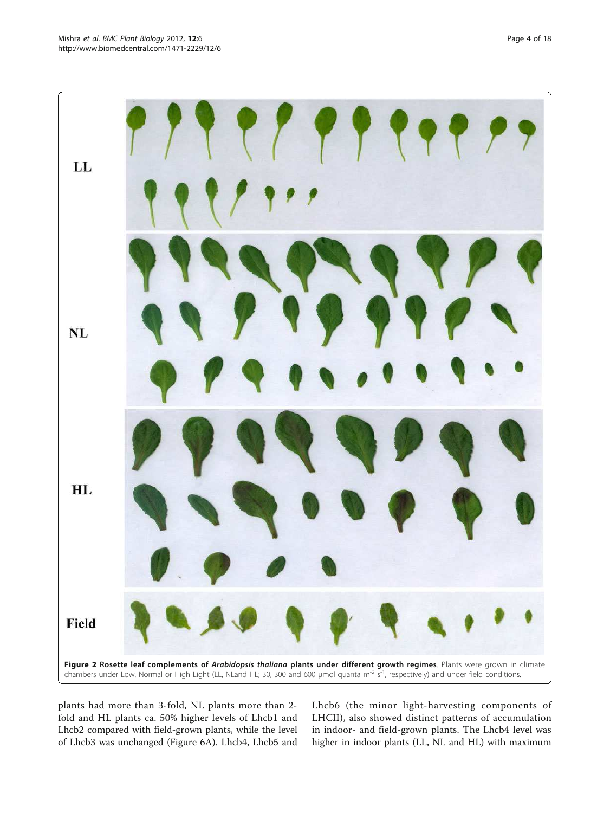plants had more than 3-fold, NL plants more than 2 fold and HL plants ca. 50% higher levels of Lhcb1 and Lhcb2 compared with field-grown plants, while the level of Lhcb3 was unchanged (Figure [6A](#page-7-0)). Lhcb4, Lhcb5 and Lhcb6 (the minor light-harvesting components of LHCII), also showed distinct patterns of accumulation in indoor- and field-grown plants. The Lhcb4 level was higher in indoor plants (LL, NL and HL) with maximum

<span id="page-4-0"></span>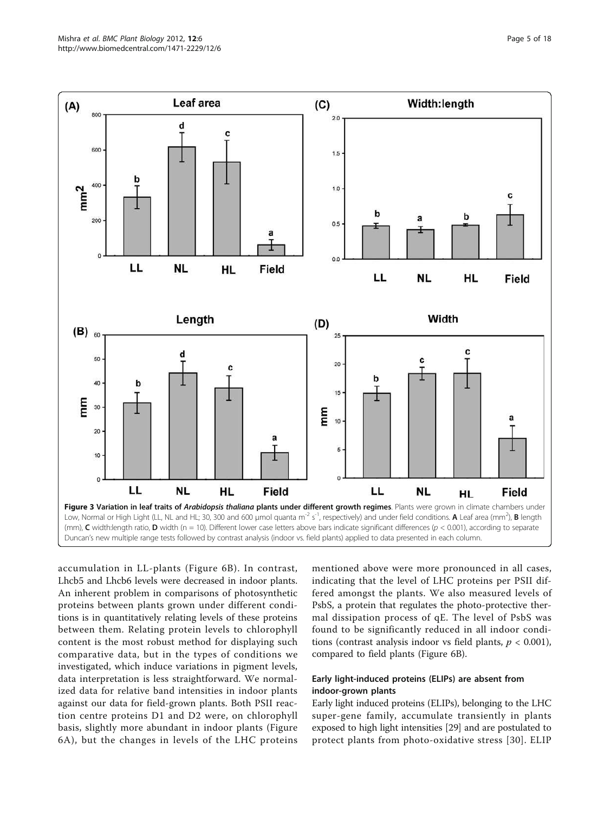<span id="page-5-0"></span>

accumulation in LL-plants (Figure [6B](#page-7-0)). In contrast, Lhcb5 and Lhcb6 levels were decreased in indoor plants. An inherent problem in comparisons of photosynthetic proteins between plants grown under different conditions is in quantitatively relating levels of these proteins between them. Relating protein levels to chlorophyll content is the most robust method for displaying such comparative data, but in the types of conditions we investigated, which induce variations in pigment levels, data interpretation is less straightforward. We normalized data for relative band intensities in indoor plants against our data for field-grown plants. Both PSII reaction centre proteins D1 and D2 were, on chlorophyll basis, slightly more abundant in indoor plants (Figure [6A](#page-7-0)), but the changes in levels of the LHC proteins

mentioned above were more pronounced in all cases, indicating that the level of LHC proteins per PSII differed amongst the plants. We also measured levels of PsbS, a protein that regulates the photo-protective thermal dissipation process of qE. The level of PsbS was found to be significantly reduced in all indoor conditions (contrast analysis indoor vs field plants,  $p < 0.001$ ), compared to field plants (Figure [6B\)](#page-7-0).

#### Early light-induced proteins (ELIPs) are absent from indoor-grown plants

Early light induced proteins (ELIPs), belonging to the LHC super-gene family, accumulate transiently in plants exposed to high light intensities [\[29\]](#page-16-0) and are postulated to protect plants from photo-oxidative stress [[30](#page-16-0)]. ELIP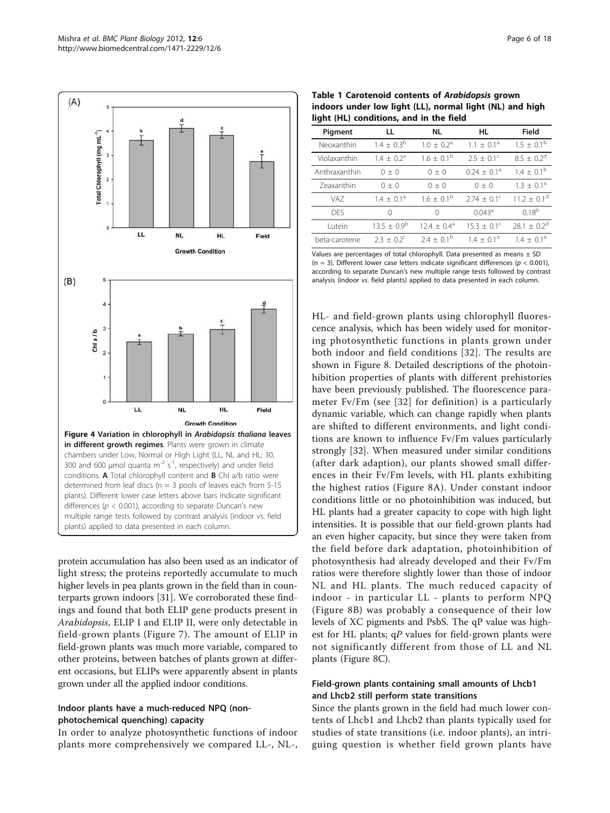<span id="page-6-0"></span>

protein accumulation has also been used as an indicator of light stress; the proteins reportedly accumulate to much higher levels in pea plants grown in the field than in counterparts grown indoors [\[31](#page-16-0)]. We corroborated these findings and found that both ELIP gene products present in Arabidopsis, ELIP I and ELIP II, were only detectable in field-grown plants (Figure [7\)](#page-8-0). The amount of ELIP in field-grown plants was much more variable, compared to other proteins, between batches of plants grown at different occasions, but ELIPs were apparently absent in plants grown under all the applied indoor conditions.

#### Indoor plants have a much-reduced NPQ (nonphotochemical quenching) capacity

In order to analyze photosynthetic functions of indoor plants more comprehensively we compared LL-, NL-,

Table 1 Carotenoid contents of Arabidopsis grown indoors under low light (LL), normal light (NL) and high light (HL) conditions, and in the field

| Pigment       | LL                    | <b>NL</b>                  | HL                          | Field                       |
|---------------|-----------------------|----------------------------|-----------------------------|-----------------------------|
| Neoxanthin    | $1.4 \pm 0.3^{b}$     | $1.0 \pm 0.2$ <sup>a</sup> | $1.1 \pm 0.1^a$             | $1.5 \pm 0.1^{\rm b}$       |
| Violaxanthin  | $1.4 \pm 0.2^{\circ}$ | $1.6 \pm 0.1^{\circ}$      | $2.5 + 0.1^{\circ}$         | $8.5 \pm 0.2^d$             |
| Anthraxanthin | $() + ()$             | $() + ()$                  | $0.24 \pm 0.1$ <sup>a</sup> | $1.4 \pm 0.1^{\rm b}$       |
| Zeaxanthin    | $() + ()$             | $() + ()$                  | $() + ()$                   | $1.3 + 0.1a$                |
| VA7           | $1.4 + 0.1a$          | $1.6 + 0.1^b$              | $2.74 + 0.1^{\circ}$        | $11.2 \pm 0.1$ <sup>d</sup> |
| <b>DES</b>    | $\Omega$              | ∩                          | $0.043^a$                   | $0.18^{b}$                  |
| l utein       | $13.5 \pm 0.9^b$      | $12.4 + 0.4^{\circ}$       | $15.3 + 0.1^{\circ}$        | 28.1 $\pm$ 0.2 <sup>d</sup> |
| beta-carotene | $2.3 + 0.2^c$         | $2.4 \pm 0.1^{\circ}$      | $1.4 + 0.1a$                | $1.4 \pm 0.1^{\circ}$       |

Values are percentages of total chlorophyll. Data presented as means  $\pm$  SD (n = 3). Different lower case letters indicate significant differences ( $p < 0.001$ ), according to separate Duncan's new multiple range tests followed by contrast analysis (indoor vs. field plants) applied to data presented in each column.

HL- and field-grown plants using chlorophyll fluorescence analysis, which has been widely used for monitoring photosynthetic functions in plants grown under both indoor and field conditions [[32\]](#page-16-0). The results are shown in Figure [8.](#page-9-0) Detailed descriptions of the photoinhibition properties of plants with different prehistories have been previously published. The fluorescence parameter Fv/Fm (see [[32\]](#page-16-0) for definition) is a particularly dynamic variable, which can change rapidly when plants are shifted to different environments, and light conditions are known to influence Fv/Fm values particularly strongly [[32\]](#page-16-0). When measured under similar conditions (after dark adaption), our plants showed small differences in their Fv/Fm levels, with HL plants exhibiting the highest ratios (Figure [8A](#page-9-0)). Under constant indoor conditions little or no photoinhibition was induced, but HL plants had a greater capacity to cope with high light intensities. It is possible that our field-grown plants had an even higher capacity, but since they were taken from the field before dark adaptation, photoinhibition of photosynthesis had already developed and their Fv/Fm ratios were therefore slightly lower than those of indoor NL and HL plants. The much reduced capacity of indoor - in particular LL - plants to perform NPQ (Figure [8B\)](#page-9-0) was probably a consequence of their low levels of XC pigments and PsbS. The qP value was highest for HL plants;  $qP$  values for field-grown plants were not significantly different from those of LL and NL plants (Figure [8C\)](#page-9-0).

#### Field-grown plants containing small amounts of Lhcb1 and Lhcb2 still perform state transitions

Since the plants grown in the field had much lower contents of Lhcb1 and Lhcb2 than plants typically used for studies of state transitions (i.e. indoor plants), an intriguing question is whether field grown plants have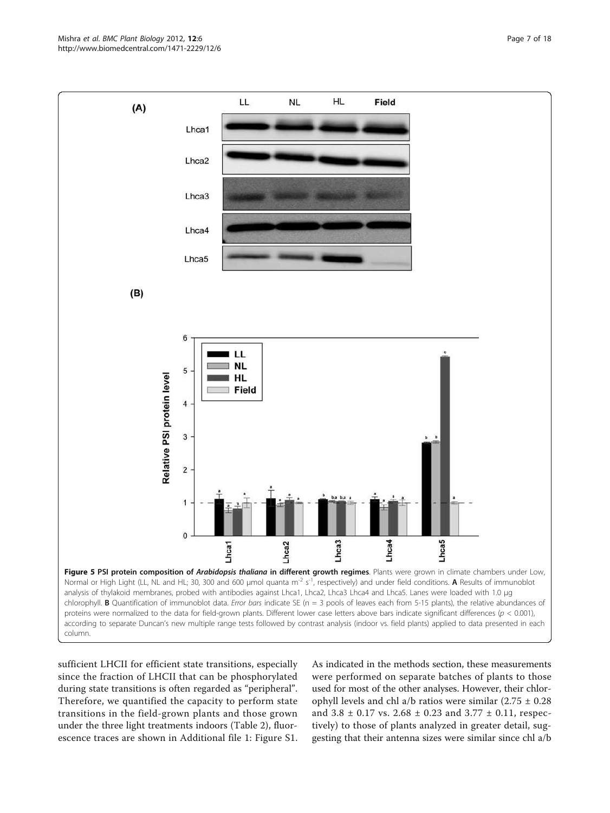<span id="page-7-0"></span>Mishra et al. BMC Plant Biology 2012, 12:6 http://www.biomedcentral.com/1471-2229/12/6



sufficient LHCII for efficient state transitions, especially since the fraction of LHCII that can be phosphorylated during state transitions is often regarded as "peripheral". Therefore, we quantified the capacity to perform state transitions in the field-grown plants and those grown under the three light treatments indoors (Table [2](#page-10-0)), fluorescence traces are shown in Additional file [1:](#page-15-0) Figure S1. As indicated in the methods section, these measurements were performed on separate batches of plants to those used for most of the other analyses. However, their chlorophyll levels and chl a/b ratios were similar  $(2.75 \pm 0.28)$ and  $3.8 \pm 0.17$  vs.  $2.68 \pm 0.23$  and  $3.77 \pm 0.11$ , respectively) to those of plants analyzed in greater detail, suggesting that their antenna sizes were similar since chl a/b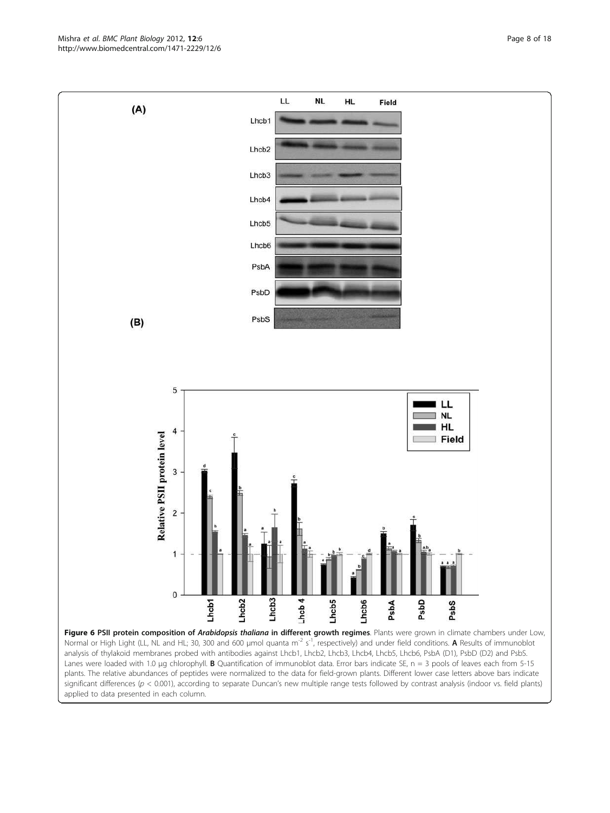Mishra et al. BMC Plant Biology 2012, 12:6 http://www.biomedcentral.com/1471-2229/12/6

<span id="page-8-0"></span>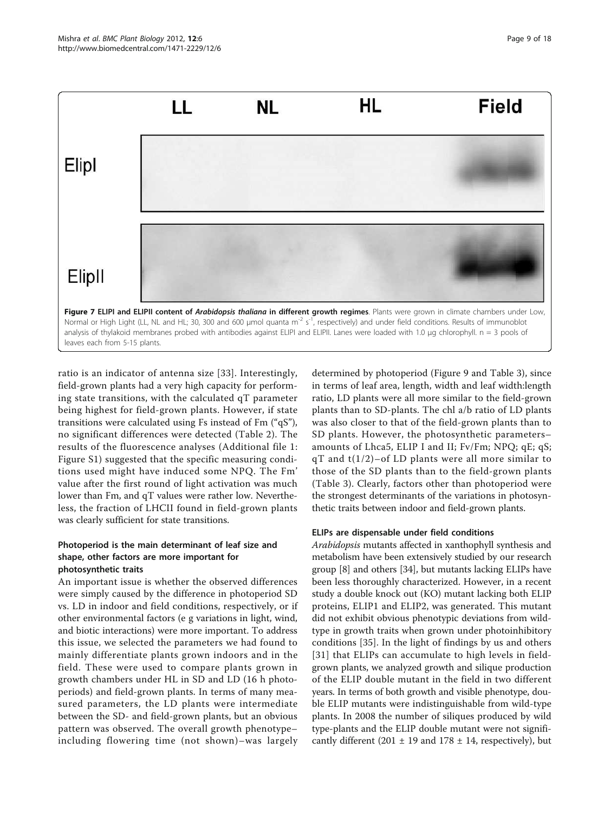ratio is an indicator of antenna size [\[33\]](#page-16-0). Interestingly, field-grown plants had a very high capacity for performing state transitions, with the calculated qT parameter being highest for field-grown plants. However, if state transitions were calculated using Fs instead of Fm ("qS"), no significant differences were detected (Table [2](#page-10-0)). The results of the fluorescence analyses (Additional file [1](#page-15-0): Figure S1) suggested that the specific measuring conditions used might have induced some NPQ. The Fm' value after the first round of light activation was much lower than Fm, and qT values were rather low. Nevertheless, the fraction of LHCII found in field-grown plants was clearly sufficient for state transitions.

#### Photoperiod is the main determinant of leaf size and shape, other factors are more important for photosynthetic traits

An important issue is whether the observed differences were simply caused by the difference in photoperiod SD vs. LD in indoor and field conditions, respectively, or if other environmental factors (e g variations in light, wind, and biotic interactions) were more important. To address this issue, we selected the parameters we had found to mainly differentiate plants grown indoors and in the field. These were used to compare plants grown in growth chambers under HL in SD and LD (16 h photoperiods) and field-grown plants. In terms of many measured parameters, the LD plants were intermediate between the SD- and field-grown plants, but an obvious pattern was observed. The overall growth phenotype– including flowering time (not shown)–was largely

determined by photoperiod (Figure [9](#page-10-0) and Table [3\)](#page-11-0), since in terms of leaf area, length, width and leaf width:length ratio, LD plants were all more similar to the field-grown plants than to SD-plants. The chl a/b ratio of LD plants was also closer to that of the field-grown plants than to SD plants. However, the photosynthetic parameters– amounts of Lhca5, ELIP I and II; Fv/Fm; NPQ; qE; qS;  $qT$  and  $t(1/2)$ –of LD plants were all more similar to those of the SD plants than to the field-grown plants (Table [3](#page-11-0)). Clearly, factors other than photoperiod were the strongest determinants of the variations in photosynthetic traits between indoor and field-grown plants.

#### ELIPs are dispensable under field conditions

Arabidopsis mutants affected in xanthophyll synthesis and metabolism have been extensively studied by our research group [\[8](#page-16-0)] and others [[34](#page-16-0)], but mutants lacking ELIPs have been less thoroughly characterized. However, in a recent study a double knock out (KO) mutant lacking both ELIP proteins, ELIP1 and ELIP2, was generated. This mutant did not exhibit obvious phenotypic deviations from wildtype in growth traits when grown under photoinhibitory conditions [\[35](#page-16-0)]. In the light of findings by us and others [[31\]](#page-16-0) that ELIPs can accumulate to high levels in fieldgrown plants, we analyzed growth and silique production of the ELIP double mutant in the field in two different years. In terms of both growth and visible phenotype, double ELIP mutants were indistinguishable from wild-type plants. In 2008 the number of siliques produced by wild type-plants and the ELIP double mutant were not significantly different (201  $\pm$  19 and 178  $\pm$  14, respectively), but



**NL** 

HL

<span id="page-9-0"></span>Elipl

LL

Field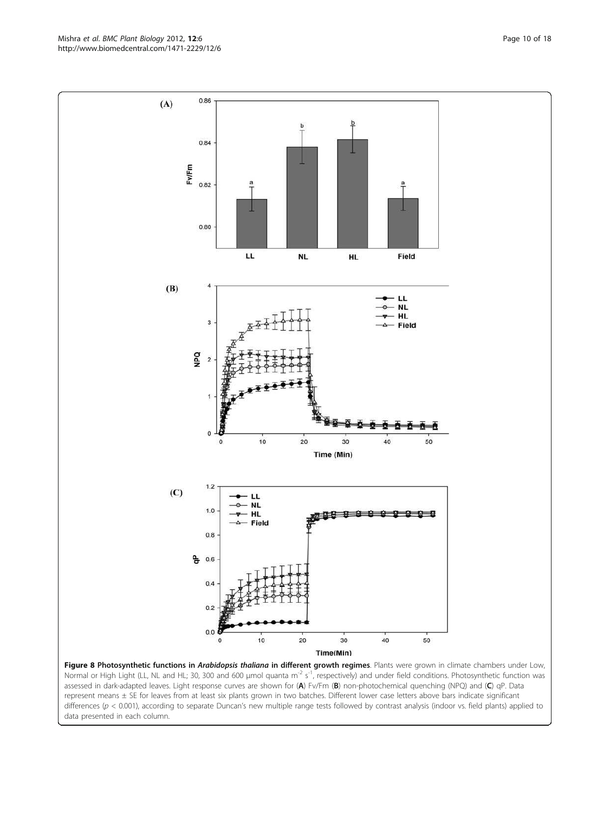Figure 8 Photosynthetic functions in Arabidopsis thaliana in different growth regimes. Plants were grown in climate chambers under Low, Normal or High Light (LL, NL and HL; 30, 300 and 600 µmol quanta m<sup>-2</sup> s<sup>-1</sup>, respectively) and under field conditions. Photosynthetic function was assessed in dark-adapted leaves. Light response curves are shown for (A) Fv/Fm (B) non-photochemical quenching (NPQ) and (C) qP. Data represent means ± SE for leaves from at least six plants grown in two batches. Different lower case letters above bars indicate significant differences  $(p < 0.001)$ , according to separate Duncan's new multiple range tests followed by contrast analysis (indoor vs. field plants) applied to data presented in each column.

20

30

Time(Min)

40

50

 $(B)$ LL **NL HL** 3 Field  $\sum_{i=1}^{n}$ ē ۰.  $\overline{0}$ 10  $20$ 50  $\mathbf 0$ 30 40 Time (Min)  $1.2$  $(C)$ LL **NL**  $1.0$ **HL**  $B<sub>2</sub>$ - Field  $0.8$  $\frac{a}{\sigma}$  0.6

**NL** 

b

**HL** 

Field

<span id="page-10-0"></span>Mishra et al. BMC Plant Biology 2012, 12:6 http://www.biomedcentral.com/1471-2229/12/6

 $(A)$ 

0.86

0.84

0.80

 $0.4$ 

 $0.2$ 

 $0.0$ 

 $\circ$ 

 $10$ 

LL

Fv/Fm  $0.82$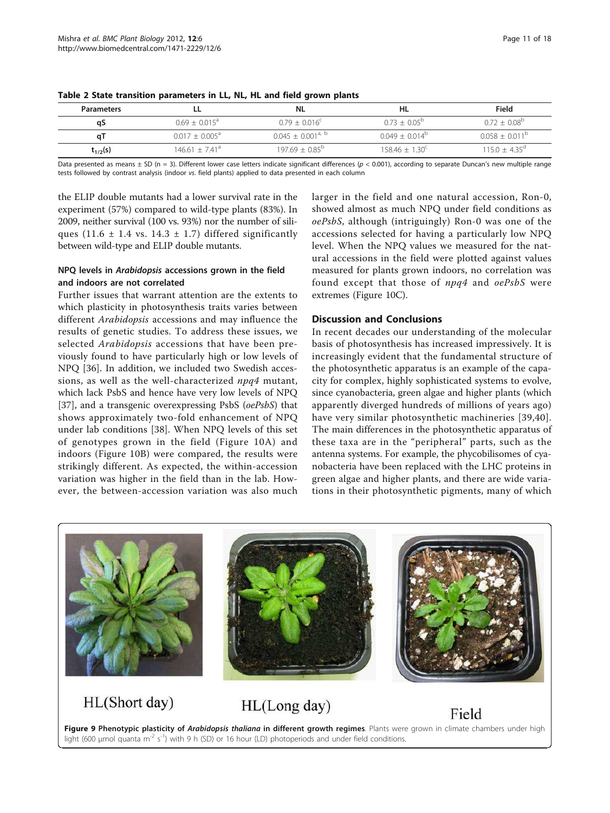| <b>Parameters</b> | ᆫ                            | <b>NL</b>                       | HL                    | <b>Field</b>          |
|-------------------|------------------------------|---------------------------------|-----------------------|-----------------------|
| qS                | $0.69 + 0.015^a$             | $0.79 + 0.016^{\circ}$          | $0.73 + 0.05^{\circ}$ | $0.72 + 0.08^{\circ}$ |
| αT                | $0.017 + 0.005^a$            | $0.045 + 0.001$ <sup>a, b</sup> | $0.049 + 0.014^b$     | $0.058 + 0.011^b$     |
| $t_{1/2}(s)$      | $146.61 + 7.41$ <sup>a</sup> | $19769 + 085^b$                 | $15846 + 130^{\circ}$ | $1150 + 435^{\circ}$  |

<span id="page-11-0"></span>Table 2 State transition parameters in LL, NL, HL and field grown plants

Data presented as means  $\pm$  SD (n = 3). Different lower case letters indicate significant differences ( $p$  < 0.001), according to separate Duncan's new multiple range tests followed by contrast analysis (indoor vs. field plants) applied to data presented in each column

the ELIP double mutants had a lower survival rate in the experiment (57%) compared to wild-type plants (83%). In 2009, neither survival (100 vs. 93%) nor the number of siliques (11.6  $\pm$  1.4 vs. 14.3  $\pm$  1.7) differed significantly between wild-type and ELIP double mutants.

#### NPQ levels in Arabidopsis accessions grown in the field and indoors are not correlated

Further issues that warrant attention are the extents to which plasticity in photosynthesis traits varies between different Arabidopsis accessions and may influence the results of genetic studies. To address these issues, we selected Arabidopsis accessions that have been previously found to have particularly high or low levels of NPQ [\[36](#page-16-0)]. In addition, we included two Swedish accessions, as well as the well-characterized npq4 mutant, which lack PsbS and hence have very low levels of NPQ [[37\]](#page-16-0), and a transgenic overexpressing PsbS (oePsbS) that shows approximately two-fold enhancement of NPQ under lab conditions [[38\]](#page-16-0). When NPQ levels of this set of genotypes grown in the field (Figure [10A](#page-12-0)) and indoors (Figure [10B](#page-12-0)) were compared, the results were strikingly different. As expected, the within-accession variation was higher in the field than in the lab. However, the between-accession variation was also much

larger in the field and one natural accession, Ron-0, showed almost as much NPQ under field conditions as oePsbS, although (intriguingly) Ron-0 was one of the accessions selected for having a particularly low NPQ level. When the NPQ values we measured for the natural accessions in the field were plotted against values measured for plants grown indoors, no correlation was found except that those of npq4 and oePsbS were extremes (Figure [10C\)](#page-12-0).

#### Discussion and Conclusions

In recent decades our understanding of the molecular basis of photosynthesis has increased impressively. It is increasingly evident that the fundamental structure of the photosynthetic apparatus is an example of the capacity for complex, highly sophisticated systems to evolve, since cyanobacteria, green algae and higher plants (which apparently diverged hundreds of millions of years ago) have very similar photosynthetic machineries [[39,40\]](#page-16-0). The main differences in the photosynthetic apparatus of these taxa are in the "peripheral" parts, such as the antenna systems. For example, the phycobilisomes of cyanobacteria have been replaced with the LHC proteins in green algae and higher plants, and there are wide variations in their photosynthetic pigments, many of which



light (600  $\mu$ mol quanta m<sup>-2</sup> s<sup>-1</sup>) with 9 h (SD) or 16 hour (LD) photoperiods and under field conditions.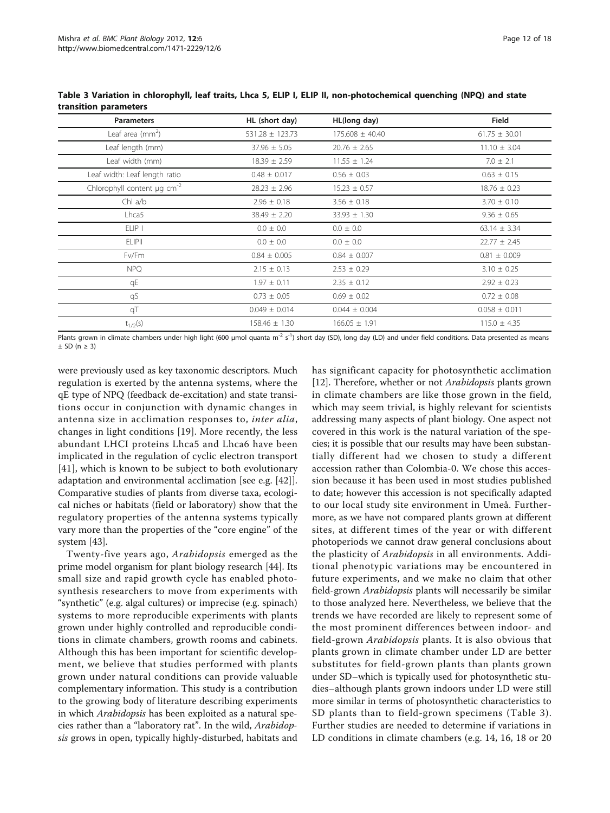| <b>Parameters</b>                            | HL (short day)      | HL(long day)        | Field             |
|----------------------------------------------|---------------------|---------------------|-------------------|
| Leaf area $(mm2)$                            | $531.28 \pm 123.73$ | $175.608 \pm 40.40$ | $61.75 \pm 30.01$ |
| Leaf length (mm)                             | $37.96 \pm 5.05$    | $20.76 \pm 2.65$    | $11.10 \pm 3.04$  |
| Leaf width (mm)                              | $18.39 \pm 2.59$    | $11.55 \pm 1.24$    | $7.0 \pm 2.1$     |
| Leaf width: Leaf length ratio                | $0.48 \pm 0.017$    | $0.56 \pm 0.03$     | $0.63 \pm 0.15$   |
| Chlorophyll content $\mu$ g cm <sup>-2</sup> | $28.23 \pm 2.96$    | $15.23 \pm 0.57$    | $18.76 \pm 0.23$  |
| Chl a/b                                      | $2.96 \pm 0.18$     | $3.56 \pm 0.18$     | $3.70 \pm 0.10$   |
| Lhca5                                        | $38.49 \pm 2.20$    | $33.93 \pm 1.30$    | $9.36 \pm 0.65$   |
| ELIP I                                       | $0.0 \pm 0.0$       | $0.0 \pm 0.0$       | $63.14 \pm 3.34$  |
| <b>ELIPII</b>                                | $0.0 \pm 0.0$       | $0.0 \pm 0.0$       | $22.77 \pm 2.45$  |
| Fv/Fm                                        | $0.84 \pm 0.005$    | $0.84 \pm 0.007$    | $0.81 \pm 0.009$  |
| <b>NPQ</b>                                   | $2.15 \pm 0.13$     | $2.53 \pm 0.29$     | $3.10 \pm 0.25$   |
| qE                                           | $1.97 \pm 0.11$     | $2.35 \pm 0.12$     | $2.92 \pm 0.23$   |
| qS                                           | $0.73 \pm 0.05$     | $0.69 \pm 0.02$     | $0.72 \pm 0.08$   |
| qT                                           | $0.049 \pm 0.014$   | $0.044 \pm 0.004$   | $0.058 \pm 0.011$ |
| $t_{1/2}(s)$                                 | $158.46 \pm 1.30$   | $166.05 \pm 1.91$   | $115.0 \pm 4.35$  |

<span id="page-12-0"></span>Table 3 Variation in chlorophyll, leaf traits, Lhca 5, ELIP I, ELIP II, non-photochemical quenching (NPQ) and state transition parameters

Plants grown in climate chambers under high light (600 µmol quanta m $^2$  s<sup>-1</sup>) short day (SD), long day (LD) and under field conditions. Data presented as means  $±$  SD (n  $>$  3)

were previously used as key taxonomic descriptors. Much regulation is exerted by the antenna systems, where the qE type of NPQ (feedback de-excitation) and state transitions occur in conjunction with dynamic changes in antenna size in acclimation responses to, inter alia, changes in light conditions [\[19](#page-16-0)]. More recently, the less abundant LHCI proteins Lhca5 and Lhca6 have been implicated in the regulation of cyclic electron transport [[41](#page-16-0)], which is known to be subject to both evolutionary adaptation and environmental acclimation [see e.g. [\[42\]](#page-16-0)]. Comparative studies of plants from diverse taxa, ecological niches or habitats (field or laboratory) show that the regulatory properties of the antenna systems typically vary more than the properties of the "core engine" of the system [\[43\]](#page-16-0).

Twenty-five years ago, Arabidopsis emerged as the prime model organism for plant biology research [\[44](#page-16-0)]. Its small size and rapid growth cycle has enabled photosynthesis researchers to move from experiments with "synthetic" (e.g. algal cultures) or imprecise (e.g. spinach) systems to more reproducible experiments with plants grown under highly controlled and reproducible conditions in climate chambers, growth rooms and cabinets. Although this has been important for scientific development, we believe that studies performed with plants grown under natural conditions can provide valuable complementary information. This study is a contribution to the growing body of literature describing experiments in which Arabidopsis has been exploited as a natural species rather than a "laboratory rat". In the wild, Arabidopsis grows in open, typically highly-disturbed, habitats and has significant capacity for photosynthetic acclimation [[12\]](#page-16-0). Therefore, whether or not *Arabidopsis* plants grown in climate chambers are like those grown in the field, which may seem trivial, is highly relevant for scientists addressing many aspects of plant biology. One aspect not covered in this work is the natural variation of the species; it is possible that our results may have been substantially different had we chosen to study a different accession rather than Colombia-0. We chose this accession because it has been used in most studies published to date; however this accession is not specifically adapted to our local study site environment in Umeå. Furthermore, as we have not compared plants grown at different sites, at different times of the year or with different photoperiods we cannot draw general conclusions about the plasticity of *Arabidopsis* in all environments. Additional phenotypic variations may be encountered in future experiments, and we make no claim that other field-grown Arabidopsis plants will necessarily be similar to those analyzed here. Nevertheless, we believe that the trends we have recorded are likely to represent some of the most prominent differences between indoor- and field-grown Arabidopsis plants. It is also obvious that plants grown in climate chamber under LD are better substitutes for field-grown plants than plants grown under SD–which is typically used for photosynthetic studies–although plants grown indoors under LD were still more similar in terms of photosynthetic characteristics to SD plants than to field-grown specimens (Table [3\)](#page-11-0). Further studies are needed to determine if variations in LD conditions in climate chambers (e.g. 14, 16, 18 or 20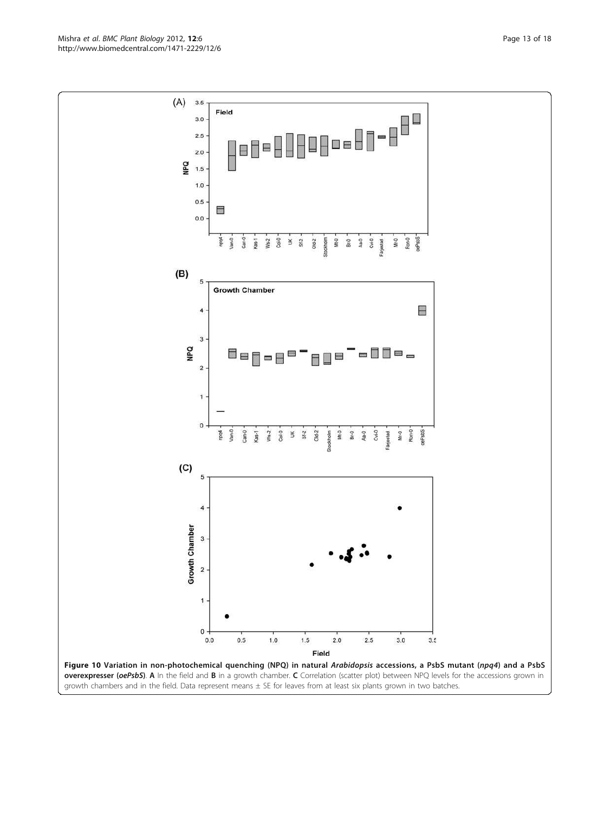Mishra et al. BMC Plant Biology 2012, 12:6 http://www.biomedcentral.com/1471-2229/12/6

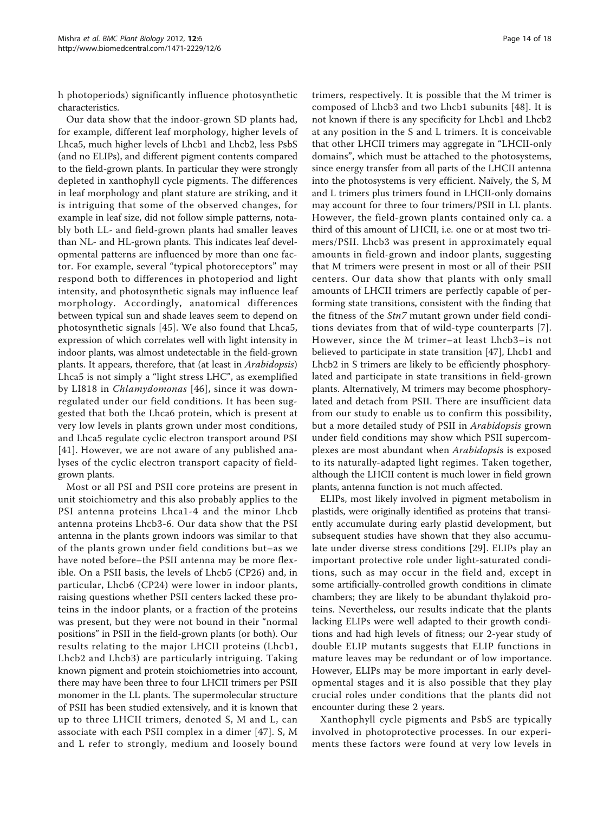h photoperiods) significantly influence photosynthetic characteristics.

Our data show that the indoor-grown SD plants had, for example, different leaf morphology, higher levels of Lhca5, much higher levels of Lhcb1 and Lhcb2, less PsbS (and no ELIPs), and different pigment contents compared to the field-grown plants. In particular they were strongly depleted in xanthophyll cycle pigments. The differences in leaf morphology and plant stature are striking, and it is intriguing that some of the observed changes, for example in leaf size, did not follow simple patterns, notably both LL- and field-grown plants had smaller leaves than NL- and HL-grown plants. This indicates leaf developmental patterns are influenced by more than one factor. For example, several "typical photoreceptors" may respond both to differences in photoperiod and light intensity, and photosynthetic signals may influence leaf morphology. Accordingly, anatomical differences between typical sun and shade leaves seem to depend on photosynthetic signals [\[45\]](#page-16-0). We also found that Lhca5, expression of which correlates well with light intensity in indoor plants, was almost undetectable in the field-grown plants. It appears, therefore, that (at least in Arabidopsis) Lhca5 is not simply a "light stress LHC", as exemplified by LI818 in Chlamydomonas [\[46\]](#page-16-0), since it was downregulated under our field conditions. It has been suggested that both the Lhca6 protein, which is present at very low levels in plants grown under most conditions, and Lhca5 regulate cyclic electron transport around PSI [[41](#page-16-0)]. However, we are not aware of any published analyses of the cyclic electron transport capacity of fieldgrown plants.

Most or all PSI and PSII core proteins are present in unit stoichiometry and this also probably applies to the PSI antenna proteins Lhca1-4 and the minor Lhcb antenna proteins Lhcb3-6. Our data show that the PSI antenna in the plants grown indoors was similar to that of the plants grown under field conditions but–as we have noted before–the PSII antenna may be more flexible. On a PSII basis, the levels of Lhcb5 (CP26) and, in particular, Lhcb6 (CP24) were lower in indoor plants, raising questions whether PSII centers lacked these proteins in the indoor plants, or a fraction of the proteins was present, but they were not bound in their "normal positions" in PSII in the field-grown plants (or both). Our results relating to the major LHCII proteins (Lhcb1, Lhcb2 and Lhcb3) are particularly intriguing. Taking known pigment and protein stoichiometries into account, there may have been three to four LHCII trimers per PSII monomer in the LL plants. The supermolecular structure of PSII has been studied extensively, and it is known that up to three LHCII trimers, denoted S, M and L, can associate with each PSII complex in a dimer [[47](#page-17-0)]. S, M and L refer to strongly, medium and loosely bound

trimers, respectively. It is possible that the M trimer is composed of Lhcb3 and two Lhcb1 subunits [[48](#page-17-0)]. It is not known if there is any specificity for Lhcb1 and Lhcb2 at any position in the S and L trimers. It is conceivable that other LHCII trimers may aggregate in "LHCII-only domains", which must be attached to the photosystems, since energy transfer from all parts of the LHCII antenna into the photosystems is very efficient. Naïvely, the S, M and L trimers plus trimers found in LHCII-only domains may account for three to four trimers/PSII in LL plants. However, the field-grown plants contained only ca. a third of this amount of LHCII, i.e. one or at most two trimers/PSII. Lhcb3 was present in approximately equal amounts in field-grown and indoor plants, suggesting that M trimers were present in most or all of their PSII centers. Our data show that plants with only small amounts of LHCII trimers are perfectly capable of performing state transitions, consistent with the finding that the fitness of the Stn7 mutant grown under field conditions deviates from that of wild-type counterparts [[7](#page-16-0)]. However, since the M trimer–at least Lhcb3–is not believed to participate in state transition [[47\]](#page-17-0), Lhcb1 and Lhcb2 in S trimers are likely to be efficiently phosphorylated and participate in state transitions in field-grown plants. Alternatively, M trimers may become phosphorylated and detach from PSII. There are insufficient data from our study to enable us to confirm this possibility, but a more detailed study of PSII in Arabidopsis grown under field conditions may show which PSII supercomplexes are most abundant when Arabidopsis is exposed to its naturally-adapted light regimes. Taken together, although the LHCII content is much lower in field grown plants, antenna function is not much affected.

ELIPs, most likely involved in pigment metabolism in plastids, were originally identified as proteins that transiently accumulate during early plastid development, but subsequent studies have shown that they also accumulate under diverse stress conditions [\[29\]](#page-16-0). ELIPs play an important protective role under light-saturated conditions, such as may occur in the field and, except in some artificially-controlled growth conditions in climate chambers; they are likely to be abundant thylakoid proteins. Nevertheless, our results indicate that the plants lacking ELIPs were well adapted to their growth conditions and had high levels of fitness; our 2-year study of double ELIP mutants suggests that ELIP functions in mature leaves may be redundant or of low importance. However, ELIPs may be more important in early developmental stages and it is also possible that they play crucial roles under conditions that the plants did not encounter during these 2 years.

Xanthophyll cycle pigments and PsbS are typically involved in photoprotective processes. In our experiments these factors were found at very low levels in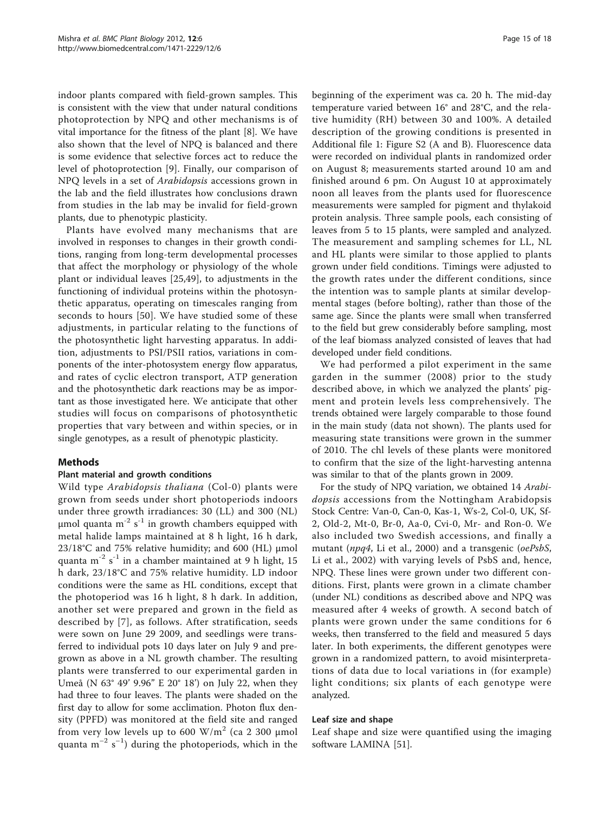<span id="page-15-0"></span>indoor plants compared with field-grown samples. This is consistent with the view that under natural conditions photoprotection by NPQ and other mechanisms is of vital importance for the fitness of the plant [\[8\]](#page-16-0). We have also shown that the level of NPQ is balanced and there is some evidence that selective forces act to reduce the level of photoprotection [[9](#page-16-0)]. Finally, our comparison of NPQ levels in a set of Arabidopsis accessions grown in the lab and the field illustrates how conclusions drawn from studies in the lab may be invalid for field-grown plants, due to phenotypic plasticity.

Plants have evolved many mechanisms that are involved in responses to changes in their growth conditions, ranging from long-term developmental processes that affect the morphology or physiology of the whole plant or individual leaves [\[25](#page-16-0),[49\]](#page-17-0), to adjustments in the functioning of individual proteins within the photosynthetic apparatus, operating on timescales ranging from seconds to hours [[50\]](#page-17-0). We have studied some of these adjustments, in particular relating to the functions of the photosynthetic light harvesting apparatus. In addition, adjustments to PSI/PSII ratios, variations in components of the inter-photosystem energy flow apparatus, and rates of cyclic electron transport, ATP generation and the photosynthetic dark reactions may be as important as those investigated here. We anticipate that other studies will focus on comparisons of photosynthetic properties that vary between and within species, or in single genotypes, as a result of phenotypic plasticity.

#### Methods

#### Plant material and growth conditions

Wild type Arabidopsis thaliana (Col-0) plants were grown from seeds under short photoperiods indoors under three growth irradiances: 30 (LL) and 300 (NL)  $\mu$ mol quanta m<sup>-2</sup> s<sup>-1</sup> in growth chambers equipped with metal halide lamps maintained at 8 h light, 16 h dark, 23/18°C and 75% relative humidity; and 600 (HL) μmol quanta m $^{-2}$  s $^{-1}$  in a chamber maintained at 9 h light, 15 h dark, 23/18°C and 75% relative humidity. LD indoor conditions were the same as HL conditions, except that the photoperiod was 16 h light, 8 h dark. In addition, another set were prepared and grown in the field as described by [[7](#page-16-0)], as follows. After stratification, seeds were sown on June 29 2009, and seedlings were transferred to individual pots 10 days later on July 9 and pregrown as above in a NL growth chamber. The resulting plants were transferred to our experimental garden in Umeå (N 63° 49' 9.96" E 20° 18') on July 22, when they had three to four leaves. The plants were shaded on the first day to allow for some acclimation. Photon flux density (PPFD) was monitored at the field site and ranged from very low levels up to 600  $\mathrm{W/m^2}$  (ca 2 300  $\mu$ mol quanta  $m^{-2}$  s<sup>-1</sup>) during the photoperiods, which in the

beginning of the experiment was ca. 20 h. The mid-day temperature varied between 16° and 28°C, and the relative humidity (RH) between 30 and 100%. A detailed description of the growing conditions is presented in Additional file 1: Figure S2 (A and B). Fluorescence data were recorded on individual plants in randomized order on August 8; measurements started around 10 am and finished around 6 pm. On August 10 at approximately noon all leaves from the plants used for fluorescence measurements were sampled for pigment and thylakoid protein analysis. Three sample pools, each consisting of leaves from 5 to 15 plants, were sampled and analyzed. The measurement and sampling schemes for LL, NL and HL plants were similar to those applied to plants grown under field conditions. Timings were adjusted to the growth rates under the different conditions, since the intention was to sample plants at similar developmental stages (before bolting), rather than those of the same age. Since the plants were small when transferred to the field but grew considerably before sampling, most

developed under field conditions. We had performed a pilot experiment in the same garden in the summer (2008) prior to the study described above, in which we analyzed the plants' pigment and protein levels less comprehensively. The trends obtained were largely comparable to those found in the main study (data not shown). The plants used for measuring state transitions were grown in the summer of 2010. The chl levels of these plants were monitored to confirm that the size of the light-harvesting antenna was similar to that of the plants grown in 2009.

of the leaf biomass analyzed consisted of leaves that had

For the study of NPQ variation, we obtained 14 Arabidopsis accessions from the Nottingham Arabidopsis Stock Centre: Van-0, Can-0, Kas-1, Ws-2, Col-0, UK, Sf-2, Old-2, Mt-0, Br-0, Aa-0, Cvi-0, Mr- and Ron-0. We also included two Swedish accessions, and finally a mutant (npq4, Li et al., 2000) and a transgenic (oePsbS, Li et al., 2002) with varying levels of PsbS and, hence, NPQ. These lines were grown under two different conditions. First, plants were grown in a climate chamber (under NL) conditions as described above and NPQ was measured after 4 weeks of growth. A second batch of plants were grown under the same conditions for 6 weeks, then transferred to the field and measured 5 days later. In both experiments, the different genotypes were grown in a randomized pattern, to avoid misinterpretations of data due to local variations in (for example) light conditions; six plants of each genotype were analyzed.

#### Leaf size and shape

Leaf shape and size were quantified using the imaging software LAMINA [\[51](#page-17-0)].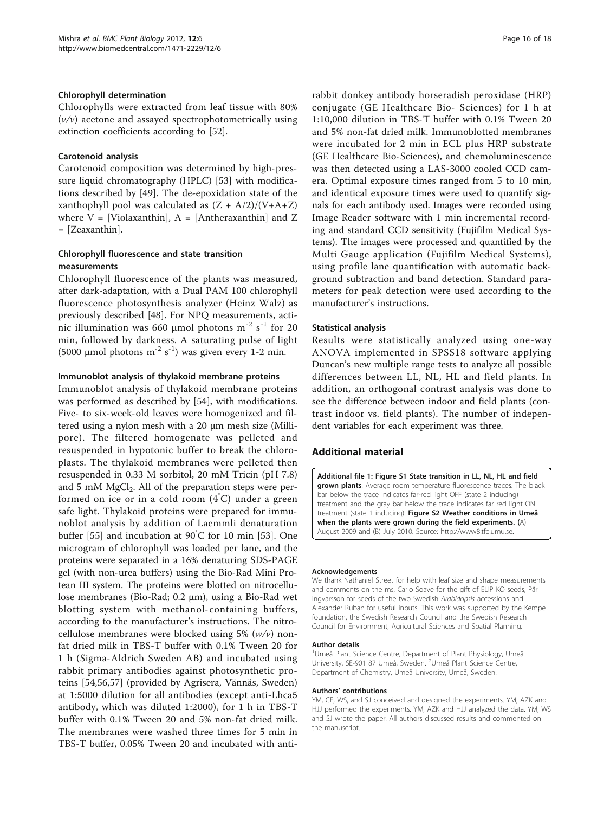#### <span id="page-16-0"></span>Chlorophyll determination

Chlorophylls were extracted from leaf tissue with 80%  $(v/v)$  acetone and assayed spectrophotometrically using extinction coefficients according to [\[52\]](#page-17-0).

#### Carotenoid analysis

Carotenoid composition was determined by high-pressure liquid chromatography (HPLC) [[53](#page-17-0)] with modifications described by [\[49](#page-17-0)]. The de-epoxidation state of the xanthophyll pool was calculated as  $(Z + A/2)/(V+A+Z)$ where  $V =$  [Violaxanthin],  $A =$  [Antheraxanthin] and Z = [Zeaxanthin].

#### Chlorophyll fluorescence and state transition measurements

Chlorophyll fluorescence of the plants was measured, after dark-adaptation, with a Dual PAM 100 chlorophyll fluorescence photosynthesis analyzer (Heinz Walz) as previously described [\[48](#page-17-0)]. For NPQ measurements, actinic illumination was 660 μmol photons  $m^{-2}$  s<sup>-1</sup> for 20 min, followed by darkness. A saturating pulse of light (5000 μmol photons m<sup>-2</sup> s<sup>-1</sup>) was given every 1-2 min.

#### Immunoblot analysis of thylakoid membrane proteins

Immunoblot analysis of thylakoid membrane proteins was performed as described by [\[54](#page-17-0)], with modifications. Five- to six-week-old leaves were homogenized and filtered using a nylon mesh with a 20 μm mesh size (Millipore). The filtered homogenate was pelleted and resuspended in hypotonic buffer to break the chloroplasts. The thylakoid membranes were pelleted then resuspended in 0.33 M sorbitol, 20 mM Tricin (pH 7.8) and 5 mM  $MgCl<sub>2</sub>$ . All of the preparation steps were performed on ice or in a cold room  $(4<sup>c</sup>)$  under a green safe light. Thylakoid proteins were prepared for immunoblot analysis by addition of Laemmli denaturation buffer [[55\]](#page-17-0) and incubation at  $90^{\circ}$ C for 10 min [\[53](#page-17-0)]. One microgram of chlorophyll was loaded per lane, and the proteins were separated in a 16% denaturing SDS-PAGE gel (with non-urea buffers) using the Bio-Rad Mini Protean III system. The proteins were blotted on nitrocellulose membranes (Bio-Rad; 0.2 μm), using a Bio-Rad wet blotting system with methanol-containing buffers, according to the manufacturer's instructions. The nitrocellulose membranes were blocked using 5% (w/v) nonfat dried milk in TBS-T buffer with 0.1% Tween 20 for 1 h (Sigma-Aldrich Sweden AB) and incubated using rabbit primary antibodies against photosynthetic proteins [[54,56,57](#page-17-0)] (provided by Agrisera, Vännäs, Sweden) at 1:5000 dilution for all antibodies (except anti-Lhca5 antibody, which was diluted 1:2000), for 1 h in TBS-T buffer with 0.1% Tween 20 and 5% non-fat dried milk. The membranes were washed three times for 5 min in TBS-T buffer, 0.05% Tween 20 and incubated with antirabbit donkey antibody horseradish peroxidase (HRP) conjugate (GE Healthcare Bio- Sciences) for 1 h at 1:10,000 dilution in TBS-T buffer with 0.1% Tween 20 and 5% non-fat dried milk. Immunoblotted membranes were incubated for 2 min in ECL plus HRP substrate (GE Healthcare Bio-Sciences), and chemoluminescence was then detected using a LAS-3000 cooled CCD camera. Optimal exposure times ranged from 5 to 10 min, and identical exposure times were used to quantify signals for each antibody used. Images were recorded using Image Reader software with 1 min incremental recording and standard CCD sensitivity (Fujifilm Medical Systems). The images were processed and quantified by the Multi Gauge application (Fujifilm Medical Systems), using profile lane quantification with automatic background subtraction and band detection. Standard parameters for peak detection were used according to the manufacturer's instructions.

#### Statistical analysis

Results were statistically analyzed using one-way ANOVA implemented in SPSS18 software applying Duncan's new multiple range tests to analyze all possible differences between LL, NL, HL and field plants. In addition, an orthogonal contrast analysis was done to see the difference between indoor and field plants (contrast indoor vs. field plants). The number of independent variables for each experiment was three.

#### Additional material

[Additional file 1: F](http://www.biomedcentral.com/content/supplementary/1471-2229-12-6-S1.PDF)igure S1 State transition in LL, NL, HL and field grown plants. Average room temperature fluorescence traces. The black bar below the trace indicates far-red light OFF (state 2 inducing) treatment and the gray bar below the trace indicates far red light ON treatment (state 1 inducing). Figure S2 Weather conditions in Umeå when the plants were grown during the field experiments. (A) August 2009 and (B) July 2010. Source: [http://www8.tfe.umu.se.](http://www8.tfe.umu.se)

#### Acknowledgements

We thank Nathaniel Street for help with leaf size and shape measurements and comments on the ms, Carlo Soave for the gift of ELIP KO seeds, Pär Ingvarsson for seeds of the two Swedish Arabidopsis accessions and Alexander Ruban for useful inputs. This work was supported by the Kempe foundation, the Swedish Research Council and the Swedish Research Council for Environment, Agricultural Sciences and Spatial Planning.

#### Author details

<sup>1</sup>Umeå Plant Science Centre, Department of Plant Physiology, Umeå University, SE-901 87 Umeå, Sweden. <sup>2</sup>Umeå Plant Science Centre Department of Chemistry, Umeå University, Umeå, Sweden.

#### Authors' contributions

YM, CF, WS, and SJ conceived and designed the experiments. YM, AZK and HJJ performed the experiments. YM, AZK and HJJ analyzed the data. YM, WS and SJ wrote the paper. All authors discussed results and commented on the manuscript.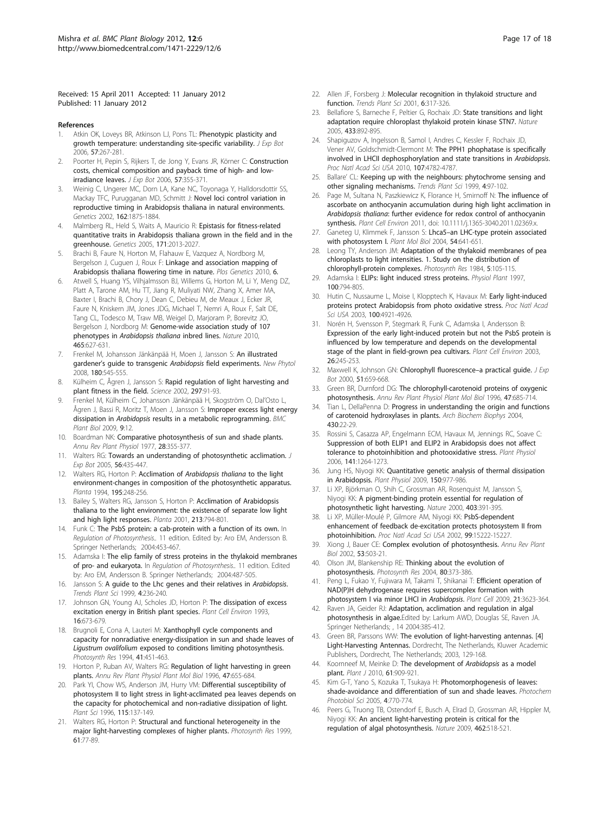<span id="page-17-0"></span>Received: 15 April 2011 Accepted: 11 January 2012 Published: 11 January 2012

#### References

- 1. Atkin OK, Loveys BR, Atkinson LJ, Pons TL: [Phenotypic plasticity and](http://www.ncbi.nlm.nih.gov/pubmed/16371402?dopt=Abstract) [growth temperature: understanding site-specific variability.](http://www.ncbi.nlm.nih.gov/pubmed/16371402?dopt=Abstract) J Exp Bot 2006, 57:267-281.
- Poorter H, Pepin S, Rijkers T, de Jong Y, Evans JR, Körner C: [Construction](http://www.ncbi.nlm.nih.gov/pubmed/16303828?dopt=Abstract) [costs, chemical composition and payback time of high- and low](http://www.ncbi.nlm.nih.gov/pubmed/16303828?dopt=Abstract)[irradiance leaves.](http://www.ncbi.nlm.nih.gov/pubmed/16303828?dopt=Abstract) J Exp Bot 2006, 57:355-371.
- Weinig C, Ungerer MC, Dorn LA, Kane NC, Toyonaga Y, Halldorsdottir SS, Mackay TFC, Purugganan MD, Schmitt J: [Novel loci control variation in](http://www.ncbi.nlm.nih.gov/pubmed/12524356?dopt=Abstract) [reproductive timing in Arabidopsis thaliana in natural environments.](http://www.ncbi.nlm.nih.gov/pubmed/12524356?dopt=Abstract) Genetics 2002, 162:1875-1884.
- 4. Malmberg RL, Held S, Waits A, Mauricio R: [Epistasis for fitness-related](http://www.ncbi.nlm.nih.gov/pubmed/16157670?dopt=Abstract) [quantitative traits in Arabidopsis thaliana grown in the field and in the](http://www.ncbi.nlm.nih.gov/pubmed/16157670?dopt=Abstract) [greenhouse.](http://www.ncbi.nlm.nih.gov/pubmed/16157670?dopt=Abstract) Genetics 2005, 171:2013-2027.
- Brachi B, Faure N, Horton M, Flahauw E, Vazquez A, Nordborg M, Bergelson J, Cuguen J, Roux F: Linkage and association mapping of Arabidopsis thaliana flowering time in nature. Plos Genetics 2010, 6.
- Atwell S, Huang YS, Vilhjalmsson BJ, Willems G, Horton M, Li Y, Meng DZ, Platt A, Tarone AM, Hu TT, Jiang R, Muliyati NW, Zhang X, Amer MA, Baxter I, Brachi B, Chory J, Dean C, Debieu M, de Meaux J, Ecker JR, Faure N, Kniskern JM, Jones JDG, Michael T, Nemri A, Roux F, Salt DE, Tang CL, Todesco M, Traw MB, Weigel D, Marjoram P, Borevitz JO, Bergelson J, Nordborg M: [Genome-wide association study of 107](http://www.ncbi.nlm.nih.gov/pubmed/20336072?dopt=Abstract) phenotypes in [Arabidopsis thaliana](http://www.ncbi.nlm.nih.gov/pubmed/20336072?dopt=Abstract) inbred lines. Nature 2010, 465:627-631.
- Frenkel M, Johansson Jänkänpää H, Moen J, Jansson S: [An illustrated](http://www.ncbi.nlm.nih.gov/pubmed/18721164?dopt=Abstract) gardener'[s guide to transgenic](http://www.ncbi.nlm.nih.gov/pubmed/18721164?dopt=Abstract) Arabidopsis field experiments. New Phytol 2008, 180:545-555.
- Külheim C, Ågren J, Jansson S: [Rapid regulation of light harvesting and](http://www.ncbi.nlm.nih.gov/pubmed/12098696?dopt=Abstract) [plant fitness in the field.](http://www.ncbi.nlm.nih.gov/pubmed/12098696?dopt=Abstract) Science 2002, 297:91-93.
- 9. Frenkel M, Külheim C, Johansson Jänkänpää H, Skogström O, Dal'Osto L, Ågren J, Bassi R, Moritz T, Moen J, Jansson S: [Improper excess light energy](http://www.ncbi.nlm.nih.gov/pubmed/19171025?dopt=Abstract) dissipation in Arabidopsis [results in a metabolic reprogramming.](http://www.ncbi.nlm.nih.gov/pubmed/19171025?dopt=Abstract) BMC Plant Biol 2009, 9:12.
- 10. Boardman NK: Comparative photosynthesis of sun and shade plants. Annu Rev Plant Physiol 1977, 28:355-377.
- 11. Walters RG: [Towards an understanding of photosynthetic acclimation.](http://www.ncbi.nlm.nih.gov/pubmed/15642715?dopt=Abstract) J Exp Bot 2005, 56:435-447.
- 12. Walters RG, Horton P: Acclimation of Arabidopsis thaliana to the light environment-changes in composition of the photosynthetic apparatus. Planta 1994, 195:248-256.
- 13. Bailey S, Walters RG, Jansson S, Horton P: [Acclimation of Arabidopsis](http://www.ncbi.nlm.nih.gov/pubmed/11678285?dopt=Abstract) thaliana [to the light environment: the existence of separate low light](http://www.ncbi.nlm.nih.gov/pubmed/11678285?dopt=Abstract) [and high light responses.](http://www.ncbi.nlm.nih.gov/pubmed/11678285?dopt=Abstract) Planta 2001, 213:794-801.
- 14. Funk C: The PsbS protein: a cab-protein with a function of its own. In Regulation of Photosynthesis.. 11 edition. Edited by: Aro EM, Andersson B. Springer Netherlands; 2004:453-467.
- 15. Adamska I: The elip family of stress proteins in the thylakoid membranes of pro- and eukaryota. In Regulation of Photosynthesis.. 11 edition. Edited by: Aro EM, Andersson B. Springer Netherlands; 2004:487-505.
- 16. Jansson S: [A guide to the Lhc genes and their relatives in](http://www.ncbi.nlm.nih.gov/pubmed/10366881?dopt=Abstract) Arabidopsis. Trends Plant Sci 1999, 4:236-240.
- 17. Johnson GN, Young AJ, Scholes JD, Horton P: The dissipation of excess excitation energy in British plant species. Plant Cell Environ 1993, 16:673-679.
- 18. Brugnoli E, Cona A, Lauteri M: Xanthophyll cycle components and capacity for nonradiative energy-dissipation in sun and shade leaves of Ligustrum ovalifolium exposed to conditions limiting photosynthesis. Photosynth Res 1994, 41:451-463.
- 19. Horton P, Ruban AV, Walters RG: [Regulation of light harvesting in green](http://www.ncbi.nlm.nih.gov/pubmed/15012304?dopt=Abstract) [plants.](http://www.ncbi.nlm.nih.gov/pubmed/15012304?dopt=Abstract) Annu Rev Plant Physiol Plant Mol Biol 1996, 47:655-684.
- 20. Park YI, Chow WS, Anderson JM, Hurry VM: Differential susceptibility of photosystem II to light stress in light-acclimated pea leaves depends on the capacity for photochemical and non-radiative dissipation of light. Plant Sci 1996, 115:137-149.
- 21. Walters RG, Horton P: Structural and functional heterogeneity in the major light-harvesting complexes of higher plants. Photosynth Res 1999, 61:77-89.
- 22. Allen JF, Forsberg J: [Molecular recognition in thylakoid structure and](http://www.ncbi.nlm.nih.gov/pubmed/11435171?dopt=Abstract) [function.](http://www.ncbi.nlm.nih.gov/pubmed/11435171?dopt=Abstract) Trends Plant Sci 2001, 6:317-326.
- 23. Bellafiore S, Barneche F, Peltier G, Rochaix JD: [State transitions and light](http://www.ncbi.nlm.nih.gov/pubmed/15729347?dopt=Abstract) [adaptation require chloroplast thylakoid protein kinase STN7.](http://www.ncbi.nlm.nih.gov/pubmed/15729347?dopt=Abstract) Nature 2005, 433:892-895.
- 24. Shapiguzov A, Ingelsson B, Samol I, Andres C, Kessler F, Rochaix JD, Vener AV, Goldschmidt-Clermont M: [The PPH1 phophatase is specifically](http://www.ncbi.nlm.nih.gov/pubmed/20176943?dopt=Abstract) [involved in LHCII dephosphorylation and state transitions in](http://www.ncbi.nlm.nih.gov/pubmed/20176943?dopt=Abstract) Arabidopsis. Proc Natl Acad Sci USA 2010, 107:4782-4787.
- 25. Ballare' CL: [Keeping up with the neighbours: phytochrome sensing and](http://www.ncbi.nlm.nih.gov/pubmed/10322540?dopt=Abstract) [other signaling mechanisms.](http://www.ncbi.nlm.nih.gov/pubmed/10322540?dopt=Abstract) Trends Plant Sci 1999, 4:97-102.
- 26. Page M, Sultana N, Paszkiewicz K, Florance H, Smirnoff N: The influence of ascorbate on anthocyanin accumulation during high light acclimation in Arabidopsis thaliana: further evidence for redox control of anthocyanin synthesis. Plant Cell Environ 2011, doi: 10.1111/j.1365-3040.2011.02369.x.
- 27. Ganeteg U, Klimmek F, Jansson S: Lhca5-[an LHC-type protein associated](http://www.ncbi.nlm.nih.gov/pubmed/15356385?dopt=Abstract) [with photosystem I.](http://www.ncbi.nlm.nih.gov/pubmed/15356385?dopt=Abstract) Plant Mol Biol 2004, 54:641-651.
- 28. Leong TY, Anderson JM: Adaptation of the thylakoid membranes of pea chloroplasts to light intensities. 1. Study on the distribution of chlorophyll-protein complexes. Photosynth Res 1984, 5:105-115.
- 29. Adamska I: ELIPs: light induced stress proteins. Physiol Plant 1997, 100:794-805.
- 30. Hutin C, Nussaume L, Moise I, Klopptech K, Havaux M; [Early light-induced](http://www.ncbi.nlm.nih.gov/pubmed/12676998?dopt=Abstract) [proteins protect Arabidopsis from photo oxidative stress.](http://www.ncbi.nlm.nih.gov/pubmed/12676998?dopt=Abstract) Proc Natl Acad Sci USA 2003, 100:4921-4926.
- 31. Norén H, Svensson P, Stegmark R, Funk C, Adamska I, Andersson B: Expression of the early light-induced protein but not the PsbS protein is influenced by low temperature and depends on the developmental stage of the plant in field-grown pea cultivars. Plant Cell Environ 2003, 26:245-253.
- 32. Maxwell K, Johnson GN: [Chlorophyll fluorescence](http://www.ncbi.nlm.nih.gov/pubmed/10938857?dopt=Abstract)-a practical guide. J Exp Bot 2000, 51:659-668.
- 33. Green BR, Durnford DG: [The chlorophyll-carotenoid proteins of oxygenic](http://www.ncbi.nlm.nih.gov/pubmed/15012305?dopt=Abstract) [photosynthesis.](http://www.ncbi.nlm.nih.gov/pubmed/15012305?dopt=Abstract) Annu Rev Plant Physiol Plant Mol Biol 1996, 47:685-714.
- 34. Tian L, DellaPenna D: [Progress in understanding the origin and functions](http://www.ncbi.nlm.nih.gov/pubmed/15325908?dopt=Abstract) [of carotenoid hydroxylases in plants.](http://www.ncbi.nlm.nih.gov/pubmed/15325908?dopt=Abstract) Arch Biochem Biophys 2004, 430:22-29.
- 35. Rossini S, Casazza AP, Engelmann ECM, Havaux M, Jennings RC, Soave C: [Suppression of both ELIP1 and ELIP2 in Arabidopsis does not affect](http://www.ncbi.nlm.nih.gov/pubmed/16778010?dopt=Abstract) [tolerance to photoinhibition and photooxidative stress.](http://www.ncbi.nlm.nih.gov/pubmed/16778010?dopt=Abstract) Plant Physiol 2006, 141:1264-1273.
- Jung HS, Niyogi KK: [Quantitative genetic analysis of thermal dissipation](http://www.ncbi.nlm.nih.gov/pubmed/19339502?dopt=Abstract) [in Arabidopsis.](http://www.ncbi.nlm.nih.gov/pubmed/19339502?dopt=Abstract) Plant Physiol 2009, 150:977-986.
- 37. Li XP, Björkman O, Shih C, Grossman AR, Rosenquist M, Jansson S, Niyogi KK: [A pigment-binding protein essential for regulation of](http://www.ncbi.nlm.nih.gov/pubmed/10667783?dopt=Abstract) [photosynthetic light harvesting.](http://www.ncbi.nlm.nih.gov/pubmed/10667783?dopt=Abstract) Nature 2000, 403:391-395.
- 38. Li XP, Müller-Moulé P, Gilmore AM, Niyogi KK: [PsbS-dependent](http://www.ncbi.nlm.nih.gov/pubmed/12417767?dopt=Abstract) [enhancement of feedback de-excitation protects photosystem II from](http://www.ncbi.nlm.nih.gov/pubmed/12417767?dopt=Abstract) [photoinhibition.](http://www.ncbi.nlm.nih.gov/pubmed/12417767?dopt=Abstract) Proc Natl Acad Sci USA 2002, 99:15222-15227.
- 39. Xiong J, Bauer CE: [Complex evolution of photosynthesis.](http://www.ncbi.nlm.nih.gov/pubmed/12221987?dopt=Abstract) Annu Rev Plant Biol 2002, 53:503-21.
- 40. Olson JM, Blankenship RE: [Thinking about the evolution of](http://www.ncbi.nlm.nih.gov/pubmed/16328834?dopt=Abstract) [photosynthesis.](http://www.ncbi.nlm.nih.gov/pubmed/16328834?dopt=Abstract) Photosynth Res 2004, 80:373-386.
- 41. Peng L, Fukao Y, Fujiwara M, Takami T, Shikanai T: [Efficient operation of](http://www.ncbi.nlm.nih.gov/pubmed/19903870?dopt=Abstract) [NAD\(P\)H dehydrogenase requires supercomplex formation with](http://www.ncbi.nlm.nih.gov/pubmed/19903870?dopt=Abstract) [photosystem I via minor LHCI in](http://www.ncbi.nlm.nih.gov/pubmed/19903870?dopt=Abstract) Arabidopsis. Plant Cell 2009, 21:3623-364.
- 42. Raven JA, Geider RJ: Adaptation, acclimation and regulation in algal photosynthesis in algae.Edited by: Larkum AWD, Douglas SE, Raven JA. Springer Netherlands; , 14 2004:385-412.
- 43. Green BR, Parssons WW: The evolution of light-harvesting antennas. [4] Light-Harvesting Antennas. Dordrecht, The Netherlands, Kluwer Academic Publishers, Dordrecht, The Netherlands; 2003, 129-168.
- 44. Koornneef M, Meinke D: [The development of](http://www.ncbi.nlm.nih.gov/pubmed/20409266?dopt=Abstract) Arabidopsis as a model [plant.](http://www.ncbi.nlm.nih.gov/pubmed/20409266?dopt=Abstract) Plant J 2010, 61:909-921.
- 45. Kim G-T, Yano S, Kozuka T, Tsukaya H: [Photomorphogenesis of leaves:](http://www.ncbi.nlm.nih.gov/pubmed/16121290?dopt=Abstract) [shade-avoidance and differentiation of sun and shade leaves.](http://www.ncbi.nlm.nih.gov/pubmed/16121290?dopt=Abstract) Photochem Photobiol Sci 2005, 4:770-774.
- 46. Peers G, Truong TB, Ostendorf E, Busch A, Elrad D, Grossman AR, Hippler M, Niyogi KK: [An ancient light-harvesting protein is critical for the](http://www.ncbi.nlm.nih.gov/pubmed/19940928?dopt=Abstract) [regulation of algal photosynthesis.](http://www.ncbi.nlm.nih.gov/pubmed/19940928?dopt=Abstract) Nature 2009, 462:518-521.